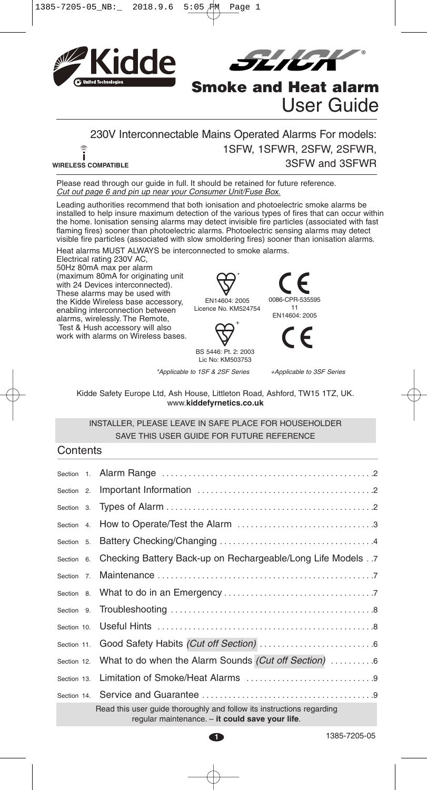



# **Smoke and Heat alarm** User Guide

#### 230V Interconnectable Mains Operated Alarms For models: 1SFW, 1SFWR, 2SFW, 2SFWR, ر<br>آ 3SFW and 3SFWR **WIRELESS COMPATIBLE**

Please read through our guide in full. It should be retained for future reference. Cut out page 6 and pin up near your Consumer Unit/Fuse Box.

Leading authorities recommend that both ionisation and photoelectric smoke alarms be installed to help insure maximum detection of the various types of fires that can occur within the home. Ionisation sensing alarms may detect invisible fire particles (associated with fast flaming fires) sooner than photoelectric alarms. Photoelectric sensing alarms may detect visible fire particles (associated with slow smoldering fires) sooner than ionisation alarms.

Heat alarms MUST ALWAYS be interconnected to smoke alarms.

Electrical rating 230V AC, 50Hz 80mA max per alarm (maximum 80mA for originating unit with 24 Devices interconnected). These alarms may be used with the Kidde Wireless base accessory, enabling interconnection between alarms, wirelessly. The Remote, Test & Hush accessory will also work with alarms on Wireless bases.



EN14604: 2005 Licence No. KM524754



BS 5446: Pt. 2: 2003 Lic No: KM503753

\*Applicable to 1SF & 2SF Series +Applicable to 3SF Series

0086-CPR-535595 11 EN14604: 2005

Kidde Safety Europe Ltd, Ash House, Littleton Road, Ashford, TW15 1TZ, UK. www.**kiddefyrnetics.co.uk**

### INSTALLER, PLEASE LEAVE IN SAFE PLACE FOR HOUSEHOLDER SAVE THIS USER GUIDE FOR FUTURE REFERENCE

## **Contents**

|             | Section 6. Checking Battery Back-up on Rechargeable/Long Life Models . 7                                                 |
|-------------|--------------------------------------------------------------------------------------------------------------------------|
| Section 7.  |                                                                                                                          |
|             |                                                                                                                          |
|             |                                                                                                                          |
| Section 10. |                                                                                                                          |
| Section 11. |                                                                                                                          |
| Section 12. | What to do when the Alarm Sounds (Cut off Section) 6                                                                     |
| Section 13. |                                                                                                                          |
|             |                                                                                                                          |
|             | Read this user quide thoroughly and follow its instructions regarding<br>regular maintenance. - it could save your life. |

1385-7205-05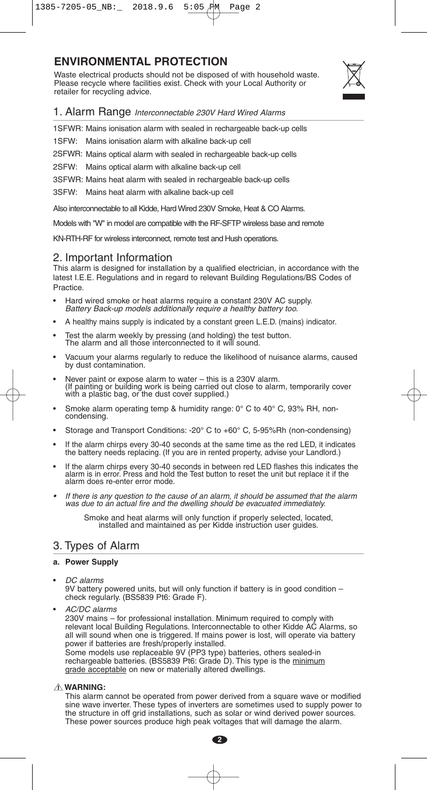# 1385-7205-05\_NB:\_ 2018.9.6 5:05 PM Page 2

# **ENVIRONMENTAL PROTECTION**

Waste electrical products should not be disposed of with household waste. Please recycle where facilities exist. Check with your Local Authority or retailer for recycling advice.



1. Alarm Range Interconnectable 230V Hard Wired Alarms

1SFWR: Mains ionisation alarm with sealed in rechargeable back-up cells

1SFW: Mains ionisation alarm with alkaline back-up cell

2SFWR: Mains optical alarm with sealed in rechargeable back-up cells

2SFW: Mains optical alarm with alkaline back-up cell

3SFWR: Mains heat alarm with sealed in rechargeable back-up cells

3SFW: Mains heat alarm with alkaline back-up cell

Also interconnectable to all Kidde, HardWired 230V Smoke, Heat & CO Alarms.

Models with "W" in model are compatible with the RF-SFTP wireless base and remote

KN-RTH-RF for wireless interconnect, remote test and Hush operations.

## 2. Important Information

This alarm is designed for installation by a qualified electrician, in accordance with the latest I.E.E. Regulations and in regard to relevant Building Regulations/BS Codes of Practice.

- Hard wired smoke or heat alarms require <sup>a</sup> constant 230V AC supply. Battery Back-up models additionally require <sup>a</sup> healthy battery too.
- A healthy mains supply is indicated by a constant green L.E.D. (mains) indicator.
- Test the alarm weekly by pressing (and holding) the test button. The alarm and all those interconnected to it will sound.
- Vacuum your alarms regularly to reduce the likelihood of nuisance alarms, caused by dust contamination.
- Never paint or expose alarm to water this is <sup>a</sup> 230V alarm. (If painting or building work is being carried out close to alarm, temporarily cover with <sup>a</sup> plastic bag, or the dust cover supplied.)
- Smoke alarm operating temp & humidity range:  $0^{\circ}$  C to 40° C, 93% RH, non-condensing.
- Storage and Transport Conditions: -20° C to +60° C, 5-95%Rh (non-condensing)
- If the alarm chirps every 30-40 seconds at the same time as the red LED, it indicates the battery needs replacing. (If you are in rented property, advise your Landlord.)
- If the alarm chirps every 30-40 seconds in between red LED flashes this indicates the alarm is in error. Press and hold the Test button to reset the unit but replace it if the alarm does re-enter error mode.
- •If there is any question to the cause of an alarm, it should be assumed that the alarm was due to an actual fire and the dwelling should be evacuated immediately.

Smoke and heat alarms will only function if properly selected, located, installed and maintained as per Kidde instruction user guides.

## 3. Types of Alarm

## **a. Power Supply**

• DC alarms 9V battery powered units, but will only function if battery is in good condition – check regularly. (BS5839 Pt6: Grade F).

• AC/DC alarms 230V mains – for professional installation. Minimum required to comply with relevant local Building Regulations. Interconnectable to other Kidde AC Alarms, so all will sound when one is triggered. If mains power is lost, will operate via battery power if batteries are fresh/properly installed. Some models use replaceable 9V (PP3 type) batteries, others sealed-in rechargeable batteries. (BS5839 Pt6: Grade D). This type is the minimum grade acceptable on new or materially altered dwellings.

#### **WARNING: !**

This alarm cannot be operated from power derived from a square wave or modified sine wave inverter. These types of inverters are sometimes used to supply power to the structure in off grid installations, such as solar or wind derived power sources. These power sources produce high peak voltages that will damage the alarm.

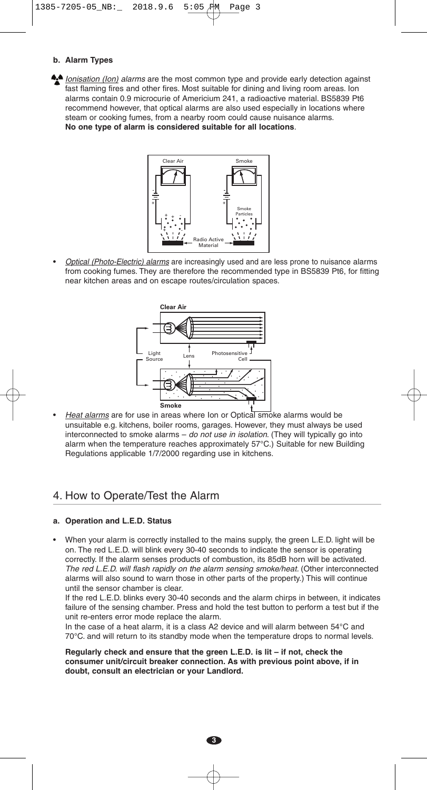#### **b. Alarm Types**

**•** Ionisation (Ion) alarms are the most common type and provide early detection against fast flaming fires and other fires. Most suitable for dining and living room areas. Ion alarms contain 0.9 microcurie of Americium 241, a radioactive material. BS5839 Pt6 recommend however, that optical alarms are also used especially in locations where steam or cooking fumes, from a nearby room could cause nuisance alarms. **No one type of alarm is considered suitable for all locations**.



Optical (Photo-Electric) alarms are increasingly used and are less prone to nuisance alarms from cooking fumes. They are therefore the recommended type in BS5839 Pt6, for fitting near kitchen areas and on escape routes/circulation spaces.



Heat alarms are for use in areas where Ion or Optical smoke alarms would be unsuitable e.g. kitchens, boiler rooms, garages. However, they must always be used interconnected to smoke alarms – do not use in isolation. (They will typically go into alarm when the temperature reaches approximately 57°C.) Suitable for new Building Regulations applicable 1/7/2000 regarding use in kitchens.

## 4. How to Operate/Test the Alarm

#### **a. Operation and L.E.D. Status**

• When your alarm is correctly installed to the mains supply, the green L.E.D. light will be on. The red L.E.D. will blink every 30-40 seconds to indicate the sensor is operating correctly. If the alarm senses products of combustion, its 85dB horn will be activated. The red L.E.D. will flash rapidly on the alarm sensing smoke/heat. (Other interconnected alarms will also sound to warn those in other parts of the property.) This will continue until the sensor chamber is clear.

If the red L.E.D. blinks every 30-40 seconds and the alarm chirps in between, it indicates failure of the sensing chamber. Press and hold the test button to perform a test but if the unit re-enters error mode replace the alarm.

In the case of a heat alarm, it is a class A2 device and will alarm between 54°C and 70°C. and will return to its standby mode when the temperature drops to normal levels.

**Regularly check and ensure that the green L.E.D. is lit – if not, check the consumer unit/circuit breaker connection. As with previous point above, if in doubt, consult an electrician or your Landlord.**

**3**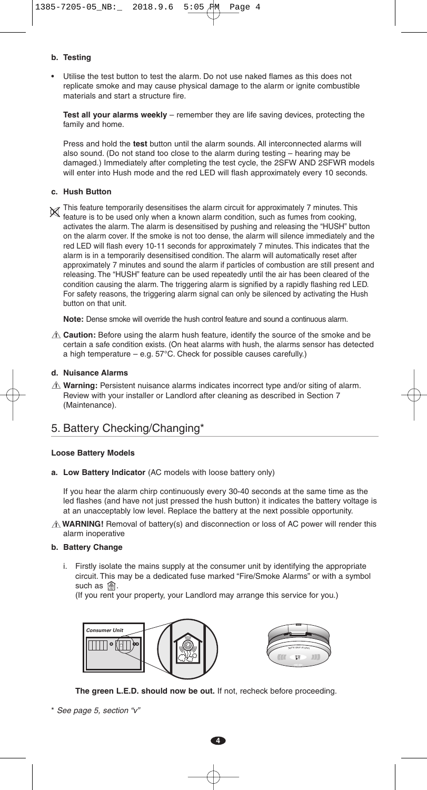#### **b. Testing**

• Utilise the test button to test the alarm. Do not use naked flames as this does not replicate smoke and may cause physical damage to the alarm or ignite combustible materials and start a structure fire.

**Test all your alarms weekly** – remember they are life saving devices, protecting the family and home.

Press and hold the **test** button until the alarm sounds. All interconnected alarms will also sound. (Do not stand too close to the alarm during testing – hearing may be damaged.) Immediately after completing the test cycle, the 2SFW AND 2SFWR models will enter into Hush mode and the red LED will flash approximately every 10 seconds.

#### **c. Hush Button**

 $\Join$  This feature temporarily desensitises the alarm circuit for approximately 7 minutes. This Find readure temporarily desensities the alarm circuit for approximately 7 minutes. This feature is to be used only when a known alarm condition, such as fumes from cooking, activates the alarm. The alarm is desensitised by pushing and releasing the "HUSH" button on the alarm cover. If the smoke is not too dense, the alarm will silence immediately and the red LED will flash every 10-11 seconds for approximately 7 minutes. This indicates that the alarm is in a temporarily desensitised condition. The alarm will automatically reset after approximately 7 minutes and sound the alarm if particles of combustion are still present and releasing. The "HUSH" feature can be used repeatedly until the air has been cleared of the condition causing the alarm. The triggering alarm is signified by a rapidly flashing red LED. For safety reasons, the triggering alarm signal can only be silenced by activating the Hush button on that unit.

**Note:** Dense smoke will override the hush control feature and sound a continuous alarm.

**Caution:** Before using the alarm hush feature, identify the source of the smoke and be **!** certain a safe condition exists. (On heat alarms with hush, the alarms sensor has detected a high temperature – e.g. 57°C. Check for possible causes carefully.)

#### **d. Nuisance Alarms**

**Warning:** Persistent nuisance alarms indicates incorrect type and/or siting of alarm. **!** Review with your installer or Landlord after cleaning as described in Section 7 (Maintenance).

## 5. Battery Checking/Changing\*

#### **Loose Battery Models**

**a. Low Battery Indicator** (AC models with loose battery only)

If you hear the alarm chirp continuously every 30-40 seconds at the same time as the led flashes (and have not just pressed the hush button) it indicates the battery voltage is at an unacceptably low level. Replace the battery at the next possible opportunity.

**WARNING!** Removal of battery(s) and disconnection or loss of AC power will render this **!** alarm inoperative

#### **b. Battery Change**

i. Firstly isolate the mains supply at the consumer unit by identifying the appropriate circuit. This may be a dedicated fuse marked "Fire/Smoke Alarms" or with a symbol such as  $\circledast$ .

(If you rent your property, your Landlord may arrange this service for you.)





**The green L.E.D. should now be out.** If not, recheck before proceeding.

\* See page 5, section "v"

**4**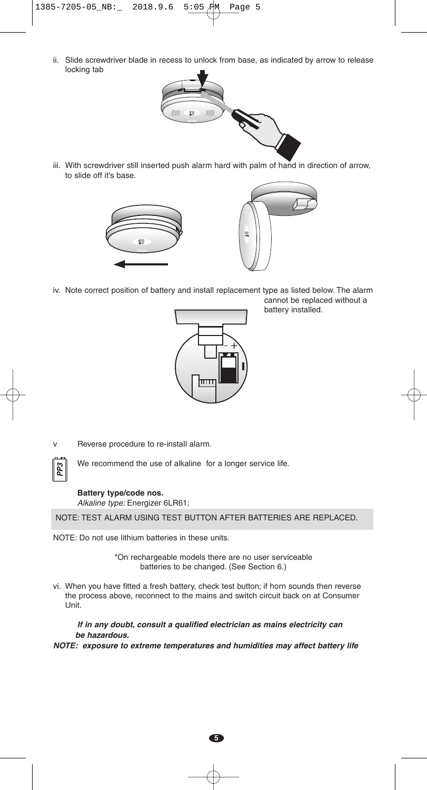ii. Slide screwdriver blade in recess to unlock from base, as indicated by arrow to release locking tab



iii. With screwdriver still inserted push alarm hard with palm of hand in direction of arrow, to slide off it's base.



iv. Note correct position of battery and install replacement type as listed below. The alarm cannot be replaced without a



battery installed.

v Reverse procedure to re-install alarm.



We recommend the use of alkaline for a longer service life.

# **Battery type/code nos.**

Alkaline type: Energizer 6LR61;

NOTE: TEST ALARM USING TEST BUTTON AFTER BATTERIES ARE REPLACED.

NOTE: Do not use lithium batteries in these units.

\*On rechargeable models there are no user serviceable batteries to be changed. (See Section 6.)

vi. When you have fitted a fresh battery, check test button; if horn sounds then reverse the process above, reconnect to the mains and switch circuit back on at Consumer Unit.

**If in any doubt, consult <sup>a</sup> qualified electrician as mains electricity can be hazardous.**

**NOTE: exposure to extreme temperatures and humidities may affect battery life**

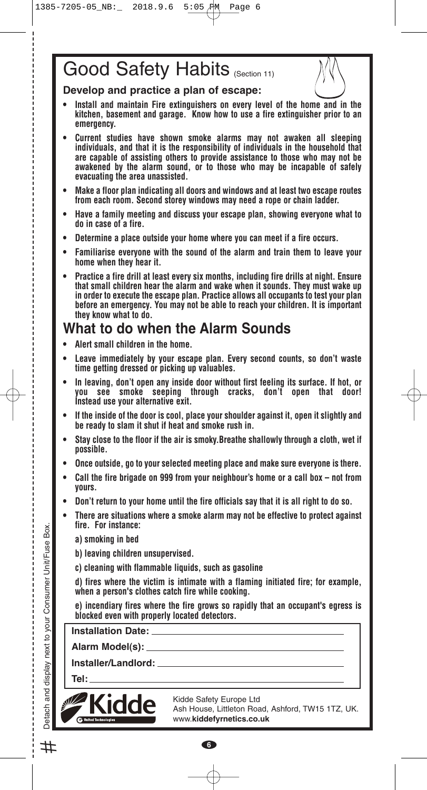# Good Safety Habits (Section 11)

**Develop and practice a plan of escape:**

- **• Install and maintain Fire extinguishers on every level of the home and in the kitchen, basement and garage. Know how to use a fire extinguisher prior to an emergency.**
- **• Current studies have shown smoke alarms may not awaken all sleeping individuals, and that it is the responsibility of individuals in the household that are capable of assisting others to provide assistance to those who may not be awakened by the alarm sound, or to those who may be incapable of safely evacuating the area unassisted.**
- **• Make a floor plan indicating all doors and windows and at least two escape routes from each room. Second storey windows may need a rope or chain ladder.**
- **• Have a family meeting and discuss your escape plan, showing everyone what to do in case of a fire.**
- **• Determine a place outside your home where you can meet if a fire occurs.**
- **• Familiarise everyone with the sound of the alarm and train them to leave your home when they hear it.**
- **• Practice a fire drill at least every six months, including fire drills at night. Ensure that small children hear the alarm and wake when it sounds. They must wake up in order to execute the escape plan. Practice allows all occupants to test your plan before an emergency. You may not be able to reach your children. It is important they know what to do.**

# **What to do when the Alarm Sounds**

- **• Alert small children in the home.**
- **• Leave immediately by your escape plan. Every second counts, so don't waste time getting dressed or picking up valuables.**
- **• In leaving, don't open any inside door without first feeling its surface. If hot, or you see smoke seeping through cracks, don't open that door! Instead use your alternative exit.**
- **• If the inside of the door is cool, place your shoulder against it, open it slightly and be ready to slam it shut if heat and smoke rush in.**
- **• Stay close to the floor if the air is smoky.Breathe shallowly through a cloth, wet if possible.**
- **• Once outside, go to your selected meeting place and make sure everyone is there.**
- **• Call the fire brigade on 999 from your neighbour's home or a call box – not from yours.**
- **• Don't return to your home until the fire officials say that it is all right to do so.**
- **• There are situations where a smoke alarm may not be effective to protect against fire. For instance:**

**a) smoking in bed**

**b) leaving children unsupervised.**

**c) cleaning with flammable liquids, such as gasoline**

**d) fires where the victim is intimate with a flaming initiated fire; for example, when a person's clothes catch fire while cooking.**

**e) incendiary fires where the fire grows so rapidly that an occupant's egress is blocked even with properly located detectors.**

**6**

**Installation Date:**

**Alarm Model(s):**

**Installer/Landlord:**

**Tel:**



Kidde Safety Europe Ltd Ash House, Littleton Road, Ashford, TW15 1TZ, UK. www.**kiddefyrnetics.co.uk**

Detach and display next to your Consumer Unit/Fuse Box.

vour  $\overline{a}$ next 1

and display

Detach

Box.

Unit/Fuse

Consumer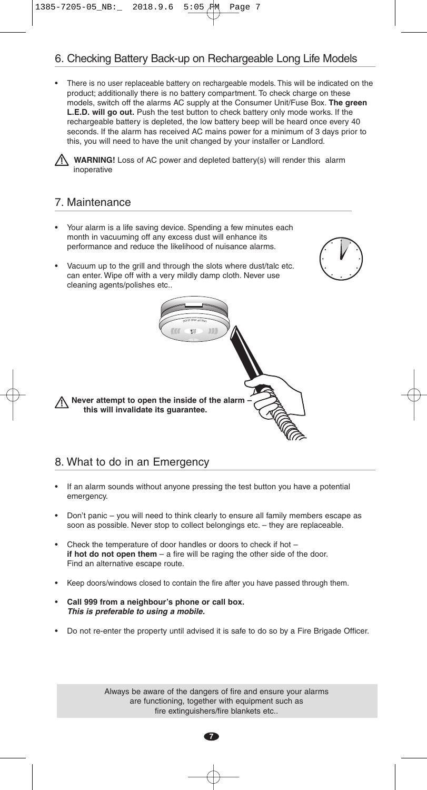# 6. Checking Battery Back-up on Rechargeable Long Life Models

• There is no user replaceable battery on rechargeable models. This will be indicated on the product; additionally there is no battery compartment. To check charge on these models, switch off the alarms AC supply at the Consumer Unit/Fuse Box. **The green L.E.D. will go out.** Push the test button to check battery only mode works. If the rechargeable battery is depleted, the low battery beep will be heard once every 40 seconds. If the alarm has received AC mains power for a minimum of 3 days prior to this, you will need to have the unit changed by your installer or Landlord.

**WARNING!** Loss of AC power and depleted battery(s) will render this alarm inoperative

> <sup>L</sup>CNU EDIG UNA 1

## 7. Maintenance

- Your alarm is a life saving device. Spending a few minutes each month in vacuuming off any excess dust will enhance its performance and reduce the likelihood of nuisance alarms.
- Vacuum up to the grill and through the slots where dust/talc etc. can enter. Wipe off with a very mildly damp cloth. Never use cleaning agents/polishes etc..

**Never attempt to open the inside of the alarm – this will invalidate its guarantee.**

## 8. What to do in an Emergency

- If an alarm sounds without anyone pressing the test button you have a potential emergency.
- Don't panic you will need to think clearly to ensure all family members escape as soon as possible. Never stop to collect belongings etc. – they are replaceable.
- Check the temperature of door handles or doors to check if hot **if hot do not open them** – a fire will be raging the other side of the door. Find an alternative escape route.
- Keep doors/windows closed to contain the fire after you have passed through them.
- **Call 999 from a neighbour's phone or call box. This is preferable to using <sup>a</sup> mobile.**
- Do not re-enter the property until advised it is safe to do so by a Fire Brigade Officer.

Always be aware of the dangers of fire and ensure your alarms are functioning, together with equipment such as fire extinguishers/fire blankets etc..

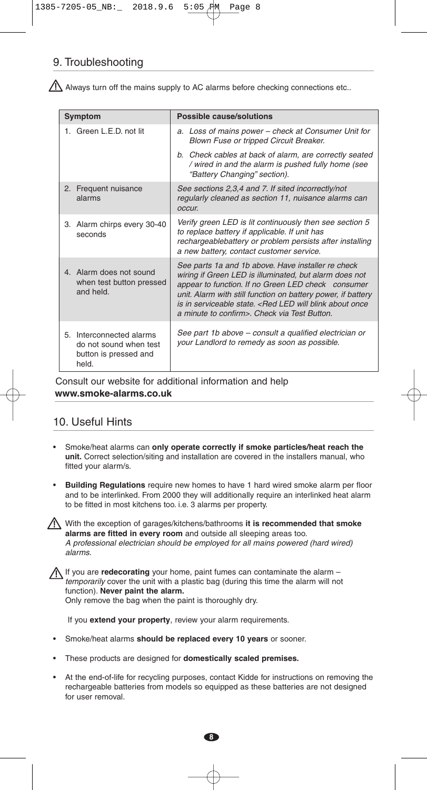# 9. Troubleshooting

 $\bigwedge$  Always turn off the mains supply to AC alarms before checking connections etc..

| Symptom                                                                              | Possible cause/solutions                                                                                                                                                                                                                                                                                                                                              |
|--------------------------------------------------------------------------------------|-----------------------------------------------------------------------------------------------------------------------------------------------------------------------------------------------------------------------------------------------------------------------------------------------------------------------------------------------------------------------|
| 1. Green L.E.D. not lit                                                              | a. Loss of mains power – check at Consumer Unit for<br>Blown Fuse or tripped Circuit Breaker.                                                                                                                                                                                                                                                                         |
|                                                                                      | b. Check cables at back of alarm, are correctly seated<br>/ wired in and the alarm is pushed fully home (see<br>"Battery Changing" section).                                                                                                                                                                                                                          |
| Frequent nuisance<br>2.<br>alarms                                                    | See sections 2,3,4 and 7. If sited incorrectly/not<br>regularly cleaned as section 11, nuisance alarms can<br>occur.                                                                                                                                                                                                                                                  |
| 3. Alarm chirps every 30-40<br>seconds                                               | Verify green LED is lit continuously then see section 5<br>to replace battery if applicable. If unit has<br>rechargeablebattery or problem persists after installing<br>a new battery, contact customer service.                                                                                                                                                      |
| 4. Alarm does not sound<br>when test button pressed<br>and held.                     | See parts 1a and 1b above. Have installer re check<br>wiring if Green LED is illuminated, but alarm does not<br>appear to function. If no Green LED check consumer<br>unit. Alarm with still function on battery power, if battery<br>is in serviceable state. <red about="" blink="" led="" once<br="" will="">a minute to confirm&gt;. Check via Test Button.</red> |
| 5. Interconnected alarms<br>do not sound when test<br>button is pressed and<br>held. | See part 1b above – consult a qualified electrician or<br>your Landlord to remedy as soon as possible.                                                                                                                                                                                                                                                                |

Consult our website for additional information and help **www.smoke-alarms.co.uk**

# 10. Useful Hints

- Smoke/heat alarms can **only operate correctly if smoke particles/heat reach the unit.** Correct selection/siting and installation are covered in the installers manual, who fitted your alarm/s.
- **Building Regulations** require new homes to have 1 hard wired smoke alarm per floor and to be interlinked. From 2000 they will additionally require an interlinked heat alarm to be fitted in most kitchens too. i.e. 3 alarms per property.

• With the exception of garages/kitchens/bathrooms **it is recommended that smoke alarms are fitted in every room** and outside all sleeping areas too. A professional electrician should be employed for all mains powered (hard wired) alarms.

• If you are **redecorating** your home, paint fumes can contaminate the alarm – temporarily cover the unit with a plastic bag (during this time the alarm will not function). **Never paint the alarm.** Only remove the bag when the paint is thoroughly dry.

If you **extend your property**, review your alarm requirements.

- Smoke/heat alarms **should be replaced every 10 years** or sooner.
- These products are designed for **domestically scaled premises.**
- At the end-of-life for recycling purposes, contact Kidde for instructions on removing the rechargeable batteries from models so equipped as these batteries are not designed for user removal.

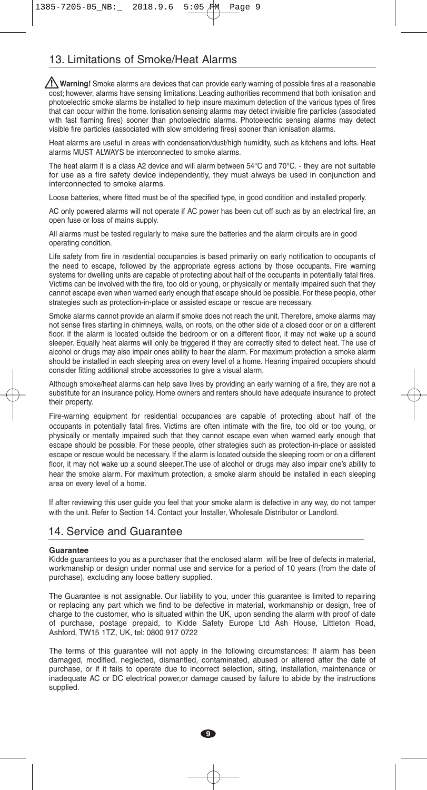# 13. Limitations of Smoke/Heat Alarms

**Warning!** Smoke alarms are devices that can provide early warning of possible fires at a reasonable cost; however, alarms have sensing limitations. Leading authorities recommend that both ionisation and photoelectric smoke alarms be installed to help insure maximum detection of the various types of fires that can occur within the home. Ionisation sensing alarms may detect invisible fire particles (associated with fast flaming fires) sooner than photoelectric alarms. Photoelectric sensing alarms may detect visible fire particles (associated with slow smoldering fires) sooner than ionisation alarms.

Heat alarms are useful in areas with condensation/dust/high humidity, such as kitchens and lofts. Heat alarms MUST ALWAYS be interconnected to smoke alarms.

The heat alarm it is a class A2 device and will alarm between 54°C and 70°C. - they are not suitable for use as a fire safety device independently, they must always be used in conjunction and interconnected to smoke alarms.

Loose batteries, where fitted must be of the specified type, in good condition and installed properly.

AC only powered alarms will not operate if AC power has been cut off such as by an electrical fire, an open fuse or loss of mains supply.

All alarms must be tested regularly to make sure the batteries and the alarm circuits are in good operating condition.

Life safety from fire in residential occupancies is based primarily on early notification to occupants of the need to escape, followed by the appropriate egress actions by those occupants. Fire warning systems for dwelling units are capable of protecting about half of the occupants in potentially fatal fires. Victims can be involved with the fire, too old or young, or physically or mentally impaired such that they cannot escape even when warned early enough that escape should be possible. For these people, other strategies such as protection-in-place or assisted escape or rescue are necessary.

Smoke alarms cannot provide an alarm if smoke does not reach the unit. Therefore, smoke alarms may not sense fires starting in chimneys, walls, on roofs, on the other side of a closed door or on a different floor. If the alarm is located outside the bedroom or on a different floor, it may not wake up a sound sleeper. Equally heat alarms will only be triggered if they are correctly sited to detect heat. The use of alcohol or drugs may also impair ones ability to hear the alarm. For maximum protection a smoke alarm should be installed in each sleeping area on every level of a home. Hearing impaired occupiers should consider fitting additional strobe accessories to give a visual alarm.

Although smoke/heat alarms can help save lives by providing an early warning of a fire, they are not a substitute for an insurance policy. Home owners and renters should have adequate insurance to protect their property.

Fire-warning equipment for residential occupancies are capable of protecting about half of the occupants in potentially fatal fires. Victims are often intimate with the fire, too old or too young, or physically or mentally impaired such that they cannot escape even when warned early enough that escape should be possible. For these people, other strategies such as protection-in-place or assisted escape or rescue would be necessary. If the alarm is located outside the sleeping room or on a different floor, it may not wake up a sound sleeper.The use of alcohol or drugs may also impair one's ability to hear the smoke alarm. For maximum protection, a smoke alarm should be installed in each sleeping area on every level of a home.

If after reviewing this user guide you feel that your smoke alarm is defective in any way, do not tamper with the unit. Refer to Section 14. Contact your Installer, Wholesale Distributor or Landlord.

### 14. Service and Guarantee

#### **Guarantee**

Kidde guarantees to you as a purchaser that the enclosed alarm will be free of defects in material, workmanship or design under normal use and service for a period of 10 years (from the date of purchase), excluding any loose battery supplied.

The Guarantee is not assignable. Our liability to you, under this guarantee is limited to repairing or replacing any part which we find to be defective in material, workmanship or design, free of charge to the customer, who is situated within the UK, upon sending the alarm with proof of date of purchase, postage prepaid, to Kidde Safety Europe Ltd Ash House, Littleton Road, Ashford, TW15 1TZ, UK, tel: 0800 917 0722

The terms of this guarantee will not apply in the following circumstances: If alarm has been damaged, modified, neglected, dismantled, contaminated, abused or altered after the date of purchase, or if it fails to operate due to incorrect selection, siting, installation, maintenance or inadequate AC or DC electrical power,or damage caused by failure to abide by the instructions supplied.

**9**